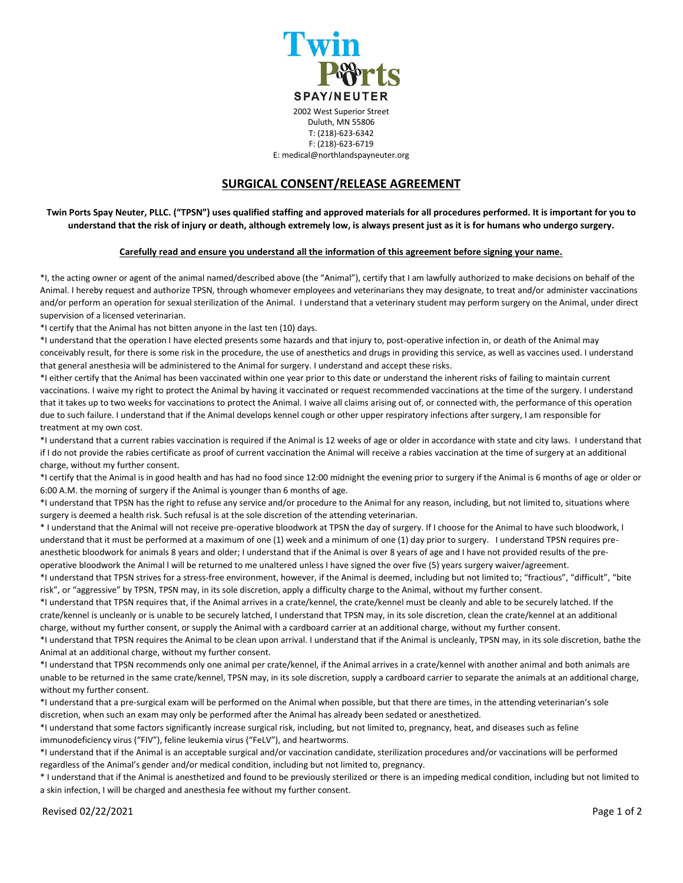

T: (218)-623-6342 F: (218)-623-6719

E: medical@northlandspayneuter.org

## **SURGICAL CONSENT/RELEASE AGREEMENT**

**Twin Ports Spay Neuter, PLLC. ("TPSN") uses qualified staffing and approved materials for all procedures performed. It is important for you to understand that the risk of injury or death, although extremely low, is always present just as it is for humans who undergo surgery.** 

## **Carefully read and ensure you understand all the information of this agreement before signing your name.**

\*I, the acting owner or agent of the animal named/described above (the "Animal"), certify that I am lawfully authorized to make decisions on behalf of the Animal. I hereby request and authorize TPSN, through whomever employees and veterinarians they may designate, to treat and/or administer vaccinations and/or perform an operation for sexual sterilization of the Animal. I understand that a veterinary student may perform surgery on the Animal, under direct supervision of a licensed veterinarian.

\*I certify that the Animal has not bitten anyone in the last ten (10) days.

\*I understand that the operation I have elected presents some hazards and that injury to, post-operative infection in, or death of the Animal may conceivably result, for there is some risk in the procedure, the use of anesthetics and drugs in providing this service, as well as vaccines used. I understand that general anesthesia will be administered to the Animal for surgery. I understand and accept these risks.

\*I either certify that the Animal has been vaccinated within one year prior to this date or understand the inherent risks of failing to maintain current vaccinations. I waive my right to protect the Animal by having it vaccinated or request recommended vaccinations at the time of the surgery. I understand that it takes up to two weeks for vaccinations to protect the Animal. I waive all claims arising out of, or connected with, the performance of this operation due to such failure. I understand that if the Animal develops kennel cough or other upper respiratory infections after surgery, I am responsible for treatment at my own cost.

\*I understand that a current rabies vaccination is required if the Animal is 12 weeks of age or older in accordance with state and city laws. I understand that if I do not provide the rabies certificate as proof of current vaccination the Animal will receive a rabies vaccination at the time of surgery at an additional charge, without my further consent.

\*I certify that the Animal is in good health and has had no food since 12:00 midnight the evening prior to surgery if the Animal is 6 months of age or older or 6:00 A.M. the morning of surgery if the Animal is younger than 6 months of age.

\*I understand that TPSN has the right to refuse any service and/or procedure to the Animal for any reason, including, but not limited to, situations where surgery is deemed a health risk. Such refusal is at the sole discretion of the attending veterinarian.

\* I understand that the Animal will not receive pre-operative bloodwork at TPSN the day of surgery. If I choose for the Animal to have such bloodwork, I understand that it must be performed at a maximum of one (1) week and a minimum of one (1) day prior to surgery. I understand TPSN requires preanesthetic bloodwork for animals 8 years and older; I understand that if the Animal is over 8 years of age and I have not provided results of the preoperative bloodwork the Animal l will be returned to me unaltered unless I have signed the over five (5) years surgery waiver/agreement.

\*I understand that TPSN strives for a stress-free environment, however, if the Animal is deemed, including but not limited to; "fractious", "difficult", "bite risk", or "aggressive" by TPSN, TPSN may, in its sole discretion, apply a difficulty charge to the Animal, without my further consent.

\*I understand that TPSN requires that, if the Animal arrives in a crate/kennel, the crate/kennel must be cleanly and able to be securely latched. If the crate/kennel is uncleanly or is unable to be securely latched, I understand that TPSN may, in its sole discretion, clean the crate/kennel at an additional charge, without my further consent, or supply the Animal with a cardboard carrier at an additional charge, without my further consent.

\*I understand that TPSN requires the Animal to be clean upon arrival. I understand that if the Animal is uncleanly, TPSN may, in its sole discretion, bathe the Animal at an additional charge, without my further consent.

\*I understand that TPSN recommends only one animal per crate/kennel, if the Animal arrives in a crate/kennel with another animal and both animals are unable to be returned in the same crate/kennel, TPSN may, in its sole discretion, supply a cardboard carrier to separate the animals at an additional charge, without my further consent.

\*I understand that a pre-surgical exam will be performed on the Animal when possible, but that there are times, in the attending veterinarian's sole discretion, when such an exam may only be performed after the Animal has already been sedated or anesthetized.

\*I understand that some factors significantly increase surgical risk, including, but not limited to, pregnancy, heat, and diseases such as feline immunodeficiency virus ("FIV"), feline leukemia virus ("FeLV"), and heartworms.

\*I understand that if the Animal is an acceptable surgical and/or vaccination candidate, sterilization procedures and/or vaccinations will be performed regardless of the Animal's gender and/or medical condition, including but not limited to, pregnancy.

\* I understand that if the Animal is anesthetized and found to be previously sterilized or there is an impeding medical condition, including but not limited to a skin infection, I will be charged and anesthesia fee without my further consent.

Revised 02/22/2021 Page 1 of 2